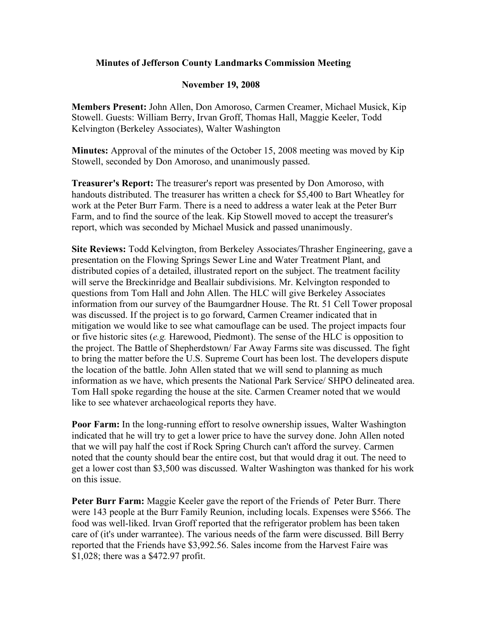## **Minutes of Jefferson County Landmarks Commission Meeting**

## **November 19, 2008**

**Members Present:** John Allen, Don Amoroso, Carmen Creamer, Michael Musick, Kip Stowell. Guests: William Berry, Irvan Groff, Thomas Hall, Maggie Keeler, Todd Kelvington (Berkeley Associates), Walter Washington

**Minutes:** Approval of the minutes of the October 15, 2008 meeting was moved by Kip Stowell, seconded by Don Amoroso, and unanimously passed.

**Treasurer's Report:** The treasurer's report was presented by Don Amoroso, with handouts distributed. The treasurer has written a check for \$5,400 to Bart Wheatley for work at the Peter Burr Farm. There is a need to address a water leak at the Peter Burr Farm, and to find the source of the leak. Kip Stowell moved to accept the treasurer's report, which was seconded by Michael Musick and passed unanimously.

**Site Reviews:** Todd Kelvington, from Berkeley Associates/Thrasher Engineering, gave a presentation on the Flowing Springs Sewer Line and Water Treatment Plant, and distributed copies of a detailed, illustrated report on the subject. The treatment facility will serve the Breckinridge and Beallair subdivisions. Mr. Kelvington responded to questions from Tom Hall and John Allen. The HLC will give Berkeley Associates information from our survey of the Baumgardner House. The Rt. 51 Cell Tower proposal was discussed. If the project is to go forward, Carmen Creamer indicated that in mitigation we would like to see what camouflage can be used. The project impacts four or five historic sites (*e.g.* Harewood, Piedmont). The sense of the HLC is opposition to the project. The Battle of Shepherdstown/ Far Away Farms site was discussed. The fight to bring the matter before the U.S. Supreme Court has been lost. The developers dispute the location of the battle. John Allen stated that we will send to planning as much information as we have, which presents the National Park Service/ SHPO delineated area. Tom Hall spoke regarding the house at the site. Carmen Creamer noted that we would like to see whatever archaeological reports they have.

**Poor Farm:** In the long-running effort to resolve ownership issues, Walter Washington indicated that he will try to get a lower price to have the survey done. John Allen noted that we will pay half the cost if Rock Spring Church can't afford the survey. Carmen noted that the county should bear the entire cost, but that would drag it out. The need to get a lower cost than \$3,500 was discussed. Walter Washington was thanked for his work on this issue.

**Peter Burr Farm:** Maggie Keeler gave the report of the Friends of Peter Burr. There were 143 people at the Burr Family Reunion, including locals. Expenses were \$566. The food was well-liked. Irvan Groff reported that the refrigerator problem has been taken care of (it's under warrantee). The various needs of the farm were discussed. Bill Berry reported that the Friends have \$3,992.56. Sales income from the Harvest Faire was \$1,028; there was a \$472.97 profit.